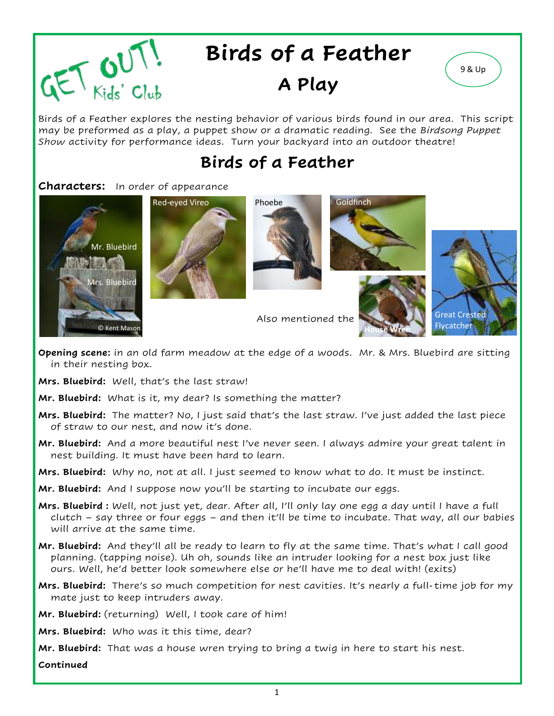

# **Birds of a Feather**

## **A Play**

Birds of a Feather explores the nesting behavior of various birds found in our area. This script may be preformed as a play, a puppet show or a dramatic reading. See the *Birdsong Puppet Show* activity for performance ideas. Turn your backyard into an outdoor theatre!

## **Birds of a Feather**

#### **Characters:** In order of appearance













**Opening scene:** in an old farm meadow at the edge of a woods. Mr. & Mrs. Bluebird are sitting in their nesting box.

Also mentioned the

- **Mrs. Bluebird:** Well, that's the last straw!
- **Mr. Bluebird:** What is it, my dear? Is something the matter?
- **Mrs. Bluebird:** The matter? No, I just said that's the last straw. I've just added the last piece of straw to our nest, and now it's done.
- **Mr. Bluebird:** And a more beautiful nest I've never seen. I always admire your great talent in nest building. It must have been hard to learn.
- **Mrs. Bluebird:** Why no, not at all. I just seemed to know what to do. It must be instinct.
- **Mr. Bluebird:** And I suppose now you'll be starting to incubate our eggs.
- **Mrs. Bluebird :** Well, not just yet, dear. After all, I'll only lay one egg a day until I have a full clutch – say three or four eggs – and then it'll be time to incubate. That way, all our babies will arrive at the same time.
- **Mr. Bluebird:** And they'll all be ready to learn to fly at the same time. That's what I call good planning. (tapping noise). Uh oh, sounds like an intruder looking for a nest box just like ours. Well, he'd better look somewhere else or he'll have me to deal with! (exits)
- **Mrs. Bluebird:** There's so much competition for nest cavities. It's nearly a full-time job for my mate just to keep intruders away.
- **Mr. Bluebird:** (returning) Well, I took care of him!
- **Mrs. Bluebird:** Who was it this time, dear?
- **Mr. Bluebird:** That was a house wren trying to bring a twig in here to start his nest.

**Continued**

9 & Up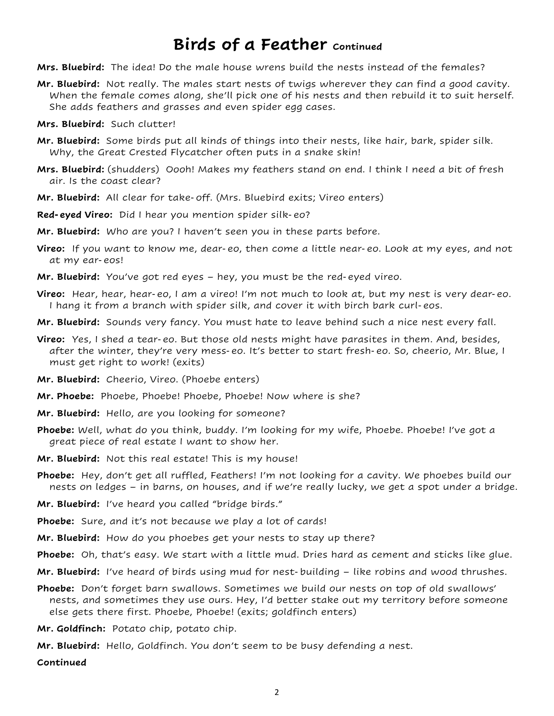### **Birds of a Feather** *continued*

- **Mrs. Bluebird:** The idea! Do the male house wrens build the nests instead of the females?
- **Mr. Bluebird:** Not really. The males start nests of twigs wherever they can find a good cavity. When the female comes along, she'll pick one of his nests and then rebuild it to suit herself. She adds feathers and grasses and even spider egg cases.
- **Mrs. Bluebird:** Such clutter!
- **Mr. Bluebird:** Some birds put all kinds of things into their nests, like hair, bark, spider silk. Why, the Great Crested Flycatcher often puts in a snake skin!
- **Mrs. Bluebird:** (shudders) Oooh! Makes my feathers stand on end. I think I need a bit of fresh air. Is the coast clear?
- **Mr. Bluebird:** All clear for take-off. (Mrs. Bluebird exits; Vireo enters)
- **Red-eyed Vireo:** Did I hear you mention spider silk-eo?
- **Mr. Bluebird:** Who are you? I haven't seen you in these parts before.
- **Vireo:** If you want to know me, dear-eo, then come a little near-eo. Look at my eyes, and not at my ear-eos!
- **Mr. Bluebird:** You've got red eyes hey, you must be the red-eyed vireo.
- **Vireo:** Hear, hear, hear-eo, I am a vireo! I'm not much to look at, but my nest is very dear-eo. I hang it from a branch with spider silk, and cover it with birch bark curl-eos.
- **Mr. Bluebird:** Sounds very fancy. You must hate to leave behind such a nice nest every fall.
- **Vireo:** Yes, I shed a tear-eo. But those old nests might have parasites in them. And, besides, after the winter, they're very mess-eo. It's better to start fresh-eo. So, cheerio, Mr. Blue, I must get right to work! (exits)
- **Mr. Bluebird:** Cheerio, Vireo. (Phoebe enters)
- **Mr. Phoebe:** Phoebe, Phoebe! Phoebe, Phoebe! Now where is she?
- **Mr. Bluebird:** Hello, are you looking for someone?
- **Phoebe:** Well, what do you think, buddy. I'm looking for my wife, Phoebe. Phoebe! I've got a great piece of real estate I want to show her.
- **Mr. Bluebird:** Not this real estate! This is my house!
- **Phoebe:** Hey, don't get all ruffled, Feathers! I'm not looking for a cavity. We phoebes build our nests on ledges – in barns, on houses, and if we're really lucky, we get a spot under a bridge.
- **Mr. Bluebird:** I've heard you called "bridge birds."
- **Phoebe:** Sure, and it's not because we play a lot of cards!
- **Mr. Bluebird:** How do you phoebes get your nests to stay up there?
- **Phoebe:** Oh, that's easy. We start with a little mud. Dries hard as cement and sticks like glue.
- **Mr. Bluebird:** I've heard of birds using mud for nest-building like robins and wood thrushes.
- **Phoebe:** Don't forget barn swallows. Sometimes we build our nests on top of old swallows' nests, and sometimes they use ours. Hey, I'd better stake out my territory before someone else gets there first. Phoebe, Phoebe! (exits; goldfinch enters)
- **Mr. Goldfinch:** Potato chip, potato chip.
- **Mr. Bluebird:** Hello, Goldfinch. You don't seem to be busy defending a nest.

**Continued**